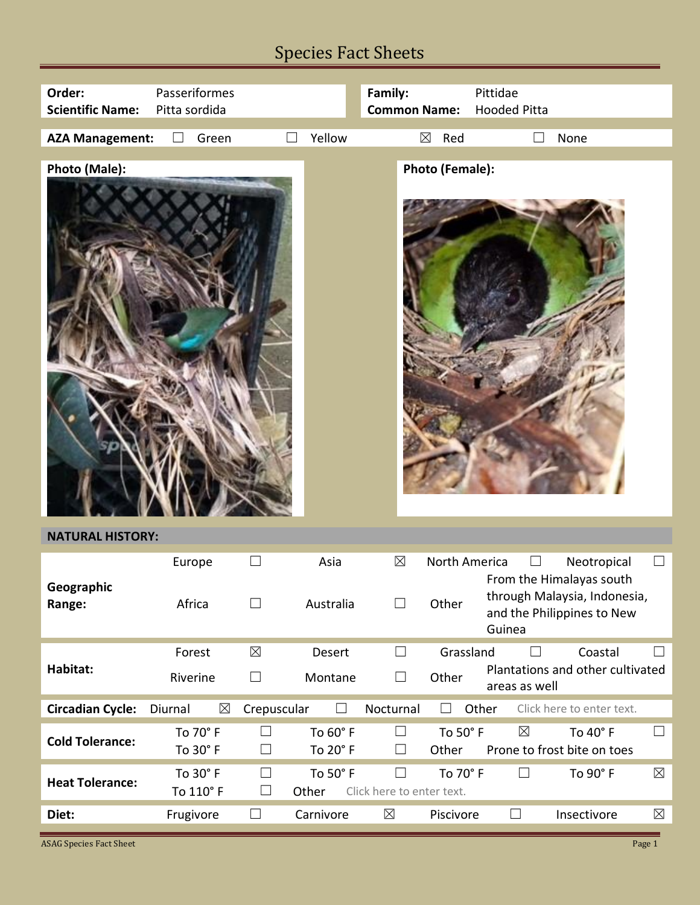## Species Fact Sheets

| Order:<br><b>Scientific Name:</b>        | Passeriformes<br>Pitta sordida |                  |                      | Family:<br><b>Common Name:</b>      |                        | Pittidae<br><b>Hooded Pitta</b> |                                                                                                       |             |
|------------------------------------------|--------------------------------|------------------|----------------------|-------------------------------------|------------------------|---------------------------------|-------------------------------------------------------------------------------------------------------|-------------|
| <b>AZA Management:</b>                   | Green<br>$\vert \ \ \vert$     |                  | Yellow               |                                     | $\boxtimes$<br>Red     |                                 | None                                                                                                  |             |
| Photo (Male):<br><b>NATURAL HISTORY:</b> |                                |                  |                      |                                     | <b>Photo (Female):</b> |                                 |                                                                                                       |             |
|                                          |                                |                  |                      | $\boxtimes$                         | North America          |                                 |                                                                                                       | $\Box$      |
| Geographic<br>Range:                     | Europe<br>Africa               | $\Box$           | Asia<br>Australia    | $\Box$                              | Other                  | Guinea                          | Neotropical<br>From the Himalayas south<br>through Malaysia, Indonesia,<br>and the Philippines to New |             |
|                                          | Forest                         | $\boxtimes$      | Desert               | $\Box$                              | Grassland              | $\Box$                          | Coastal                                                                                               | $\Box$      |
| Habitat:                                 | Riverine                       | $\Box$           | Montane              | $\Box$                              | Other                  | areas as well                   | Plantations and other cultivated                                                                      |             |
| <b>Circadian Cycle:</b>                  | $\boxtimes$<br>Diurnal         | Crepuscular      | ⊔                    | Nocturnal                           | $\perp$                | Other                           | Click here to enter text.                                                                             |             |
| <b>Cold Tolerance:</b>                   | To 70° F<br>To 30° F           | $\Box$<br>⊔      | To 60° F<br>To 20° F | $\Box$<br>$\vert \ \ \vert$         | To 50° F<br>Other      | $\boxtimes$                     | To 40° F<br>Prone to frost bite on toes                                                               | $\Box$      |
| <b>Heat Tolerance:</b>                   | To 30° F<br>To 110° F          | $\Box$<br>$\Box$ | To 50° F<br>Other    | $\Box$<br>Click here to enter text. | To 70° F               | $\Box$                          | To 90° F                                                                                              | $\boxtimes$ |
| Diet:                                    | Frugivore                      | $\Box$           | Carnivore            | $\boxtimes$                         | Piscivore              | $\Box$                          | Insectivore                                                                                           | $\boxtimes$ |

**ASAG Species Fact Sheet** Page 1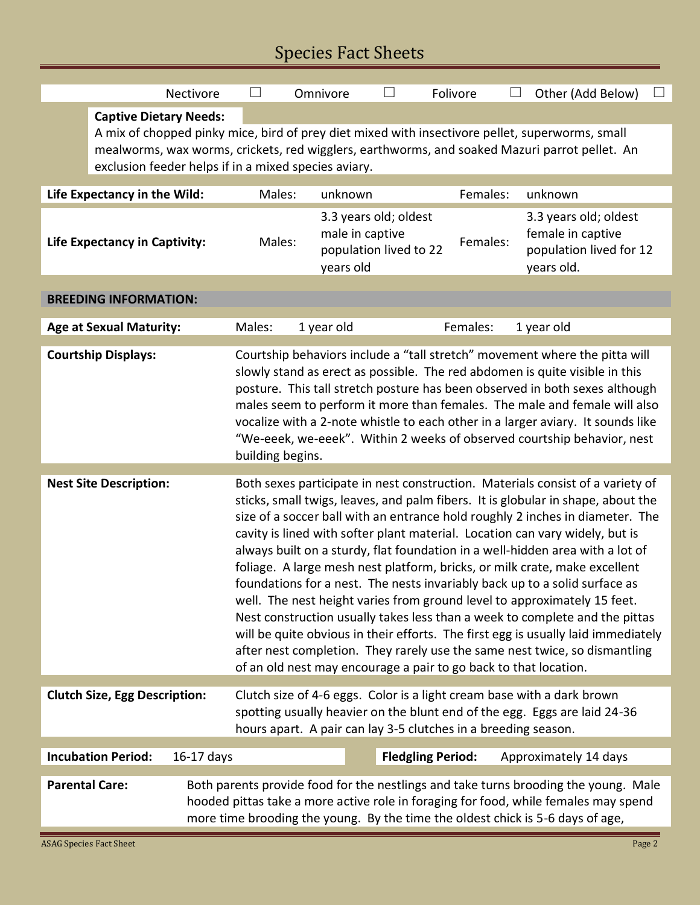## Species Fact Sheets

|                                      |                                                                                                                                                                                                                                                                                           | Nectivore                                                                                                                                                                                                                                                                                                                                                                                                                                                                                                                                                                                                                                                                                                                                                                                                                                                                                                                                                                          | $\mathcal{A}$                                                                                                                                                                                                                                                                                                                                                                                                                                                                                           |                                                                                 | Omnivore<br>$\Box$  |  | Folivore<br>$\overline{\phantom{a}}$ |                                                                                     | Other (Add Below)     |  |  |
|--------------------------------------|-------------------------------------------------------------------------------------------------------------------------------------------------------------------------------------------------------------------------------------------------------------------------------------------|------------------------------------------------------------------------------------------------------------------------------------------------------------------------------------------------------------------------------------------------------------------------------------------------------------------------------------------------------------------------------------------------------------------------------------------------------------------------------------------------------------------------------------------------------------------------------------------------------------------------------------------------------------------------------------------------------------------------------------------------------------------------------------------------------------------------------------------------------------------------------------------------------------------------------------------------------------------------------------|---------------------------------------------------------------------------------------------------------------------------------------------------------------------------------------------------------------------------------------------------------------------------------------------------------------------------------------------------------------------------------------------------------------------------------------------------------------------------------------------------------|---------------------------------------------------------------------------------|---------------------|--|--------------------------------------|-------------------------------------------------------------------------------------|-----------------------|--|--|
|                                      | <b>Captive Dietary Needs:</b><br>A mix of chopped pinky mice, bird of prey diet mixed with insectivore pellet, superworms, small<br>mealworms, wax worms, crickets, red wigglers, earthworms, and soaked Mazuri parrot pellet. An<br>exclusion feeder helps if in a mixed species aviary. |                                                                                                                                                                                                                                                                                                                                                                                                                                                                                                                                                                                                                                                                                                                                                                                                                                                                                                                                                                                    |                                                                                                                                                                                                                                                                                                                                                                                                                                                                                                         |                                                                                 |                     |  |                                      |                                                                                     |                       |  |  |
| Life Expectancy in the Wild:         |                                                                                                                                                                                                                                                                                           |                                                                                                                                                                                                                                                                                                                                                                                                                                                                                                                                                                                                                                                                                                                                                                                                                                                                                                                                                                                    | Males:                                                                                                                                                                                                                                                                                                                                                                                                                                                                                                  |                                                                                 | Females:<br>unknown |  |                                      |                                                                                     | unknown               |  |  |
| <b>Life Expectancy in Captivity:</b> |                                                                                                                                                                                                                                                                                           | Males:                                                                                                                                                                                                                                                                                                                                                                                                                                                                                                                                                                                                                                                                                                                                                                                                                                                                                                                                                                             |                                                                                                                                                                                                                                                                                                                                                                                                                                                                                                         | 3.3 years old; oldest<br>male in captive<br>population lived to 22<br>years old |                     |  | Females:                             | 3.3 years old; oldest<br>female in captive<br>population lived for 12<br>years old. |                       |  |  |
| <b>BREEDING INFORMATION:</b>         |                                                                                                                                                                                                                                                                                           |                                                                                                                                                                                                                                                                                                                                                                                                                                                                                                                                                                                                                                                                                                                                                                                                                                                                                                                                                                                    |                                                                                                                                                                                                                                                                                                                                                                                                                                                                                                         |                                                                                 |                     |  |                                      |                                                                                     |                       |  |  |
| <b>Age at Sexual Maturity:</b>       |                                                                                                                                                                                                                                                                                           |                                                                                                                                                                                                                                                                                                                                                                                                                                                                                                                                                                                                                                                                                                                                                                                                                                                                                                                                                                                    | Males:                                                                                                                                                                                                                                                                                                                                                                                                                                                                                                  | 1 year old<br>Females:                                                          |                     |  |                                      |                                                                                     | 1 year old            |  |  |
|                                      | <b>Courtship Displays:</b>                                                                                                                                                                                                                                                                |                                                                                                                                                                                                                                                                                                                                                                                                                                                                                                                                                                                                                                                                                                                                                                                                                                                                                                                                                                                    | Courtship behaviors include a "tall stretch" movement where the pitta will<br>slowly stand as erect as possible. The red abdomen is quite visible in this<br>posture. This tall stretch posture has been observed in both sexes although<br>males seem to perform it more than females. The male and female will also<br>vocalize with a 2-note whistle to each other in a larger aviary. It sounds like<br>"We-eeek, we-eeek". Within 2 weeks of observed courtship behavior, nest<br>building begins. |                                                                                 |                     |  |                                      |                                                                                     |                       |  |  |
| <b>Nest Site Description:</b>        |                                                                                                                                                                                                                                                                                           | Both sexes participate in nest construction. Materials consist of a variety of<br>sticks, small twigs, leaves, and palm fibers. It is globular in shape, about the<br>size of a soccer ball with an entrance hold roughly 2 inches in diameter. The<br>cavity is lined with softer plant material. Location can vary widely, but is<br>always built on a sturdy, flat foundation in a well-hidden area with a lot of<br>foliage. A large mesh nest platform, bricks, or milk crate, make excellent<br>foundations for a nest. The nests invariably back up to a solid surface as<br>well. The nest height varies from ground level to approximately 15 feet.<br>Nest construction usually takes less than a week to complete and the pittas<br>will be quite obvious in their efforts. The first egg is usually laid immediately<br>after nest completion. They rarely use the same nest twice, so dismantling<br>of an old nest may encourage a pair to go back to that location. |                                                                                                                                                                                                                                                                                                                                                                                                                                                                                                         |                                                                                 |                     |  |                                      |                                                                                     |                       |  |  |
| <b>Clutch Size, Egg Description:</b> |                                                                                                                                                                                                                                                                                           | Clutch size of 4-6 eggs. Color is a light cream base with a dark brown<br>spotting usually heavier on the blunt end of the egg. Eggs are laid 24-36<br>hours apart. A pair can lay 3-5 clutches in a breeding season.                                                                                                                                                                                                                                                                                                                                                                                                                                                                                                                                                                                                                                                                                                                                                              |                                                                                                                                                                                                                                                                                                                                                                                                                                                                                                         |                                                                                 |                     |  |                                      |                                                                                     |                       |  |  |
|                                      | <b>Incubation Period:</b>                                                                                                                                                                                                                                                                 | $16-17$ days                                                                                                                                                                                                                                                                                                                                                                                                                                                                                                                                                                                                                                                                                                                                                                                                                                                                                                                                                                       |                                                                                                                                                                                                                                                                                                                                                                                                                                                                                                         |                                                                                 |                     |  | <b>Fledgling Period:</b>             |                                                                                     | Approximately 14 days |  |  |
|                                      | <b>Parental Care:</b><br>Both parents provide food for the nestlings and take turns brooding the young. Male<br>hooded pittas take a more active role in foraging for food, while females may spend<br>more time brooding the young. By the time the oldest chick is 5-6 days of age,     |                                                                                                                                                                                                                                                                                                                                                                                                                                                                                                                                                                                                                                                                                                                                                                                                                                                                                                                                                                                    |                                                                                                                                                                                                                                                                                                                                                                                                                                                                                                         |                                                                                 |                     |  |                                      |                                                                                     |                       |  |  |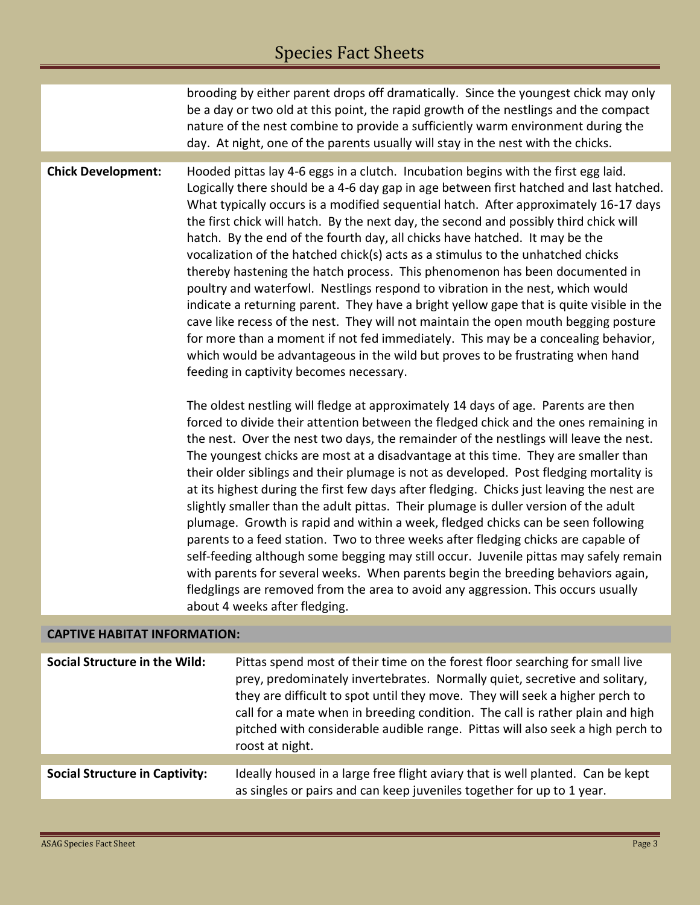brooding by either parent drops off dramatically. Since the youngest chick may only be a day or two old at this point, the rapid growth of the nestlings and the compact nature of the nest combine to provide a sufficiently warm environment during the day. At night, one of the parents usually will stay in the nest with the chicks.

**Chick Development:** Hooded pittas lay 4-6 eggs in a clutch. Incubation begins with the first egg laid. Logically there should be a 4-6 day gap in age between first hatched and last hatched. What typically occurs is a modified sequential hatch. After approximately 16-17 days the first chick will hatch. By the next day, the second and possibly third chick will hatch. By the end of the fourth day, all chicks have hatched. It may be the vocalization of the hatched chick(s) acts as a stimulus to the unhatched chicks thereby hastening the hatch process. This phenomenon has been documented in poultry and waterfowl. Nestlings respond to vibration in the nest, which would indicate a returning parent. They have a bright yellow gape that is quite visible in the cave like recess of the nest. They will not maintain the open mouth begging posture for more than a moment if not fed immediately. This may be a concealing behavior, which would be advantageous in the wild but proves to be frustrating when hand feeding in captivity becomes necessary.

> The oldest nestling will fledge at approximately 14 days of age. Parents are then forced to divide their attention between the fledged chick and the ones remaining in the nest. Over the nest two days, the remainder of the nestlings will leave the nest. The youngest chicks are most at a disadvantage at this time. They are smaller than their older siblings and their plumage is not as developed. Post fledging mortality is at its highest during the first few days after fledging. Chicks just leaving the nest are slightly smaller than the adult pittas. Their plumage is duller version of the adult plumage. Growth is rapid and within a week, fledged chicks can be seen following parents to a feed station. Two to three weeks after fledging chicks are capable of self-feeding although some begging may still occur. Juvenile pittas may safely remain with parents for several weeks. When parents begin the breeding behaviors again, fledglings are removed from the area to avoid any aggression. This occurs usually about 4 weeks after fledging.

## **CAPTIVE HABITAT INFORMATION:**

**Social Structure in the Wild:** Pittas spend most of their time on the forest floor searching for small live prey, predominately invertebrates. Normally quiet, secretive and solitary, they are difficult to spot until they move. They will seek a higher perch to call for a mate when in breeding condition. The call is rather plain and high pitched with considerable audible range. Pittas will also seek a high perch to roost at night. **Social Structure in Captivity:** Ideally housed in a large free flight aviary that is well planted. Can be kept as singles or pairs and can keep juveniles together for up to 1 year.